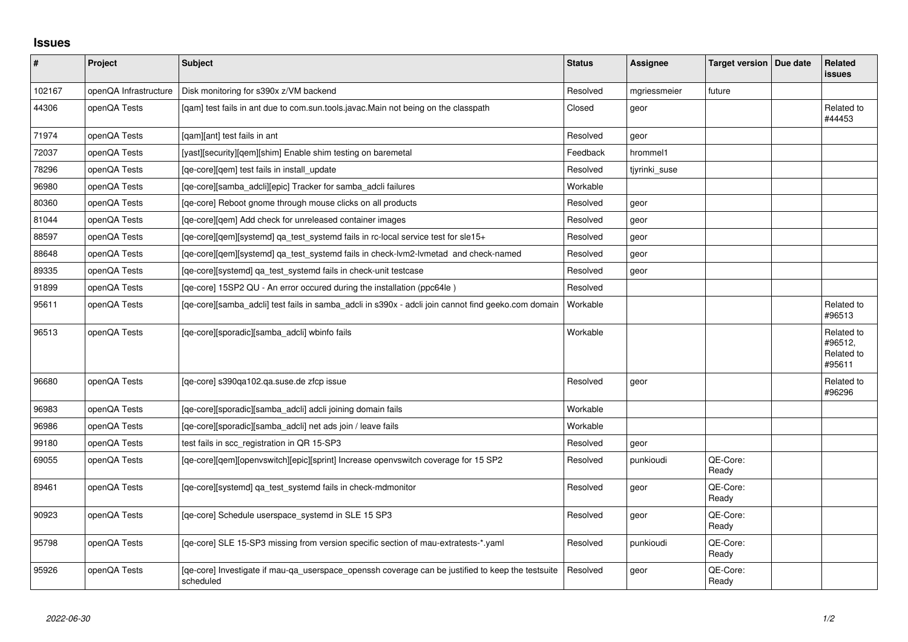## **Issues**

| $\vert$ # | Project               | <b>Subject</b>                                                                                                 | <b>Status</b> | Assignee      | Target version   Due date | Related<br><b>issues</b>                      |
|-----------|-----------------------|----------------------------------------------------------------------------------------------------------------|---------------|---------------|---------------------------|-----------------------------------------------|
| 102167    | openQA Infrastructure | Disk monitoring for s390x z/VM backend                                                                         | Resolved      | mgriessmeier  | future                    |                                               |
| 44306     | openQA Tests          | [qam] test fails in ant due to com.sun.tools.javac.Main not being on the classpath                             | Closed        | geor          |                           | Related to<br>#44453                          |
| 71974     | openQA Tests          | [gam][ant] test fails in ant                                                                                   | Resolved      | geor          |                           |                                               |
| 72037     | openQA Tests          | [yast][security][gem][shim] Enable shim testing on baremetal                                                   | Feedback      | hrommel1      |                           |                                               |
| 78296     | openQA Tests          | [qe-core][qem] test fails in install_update                                                                    | Resolved      | tjyrinki_suse |                           |                                               |
| 96980     | openQA Tests          | [ge-core][samba adcli][epic] Tracker for samba adcli failures                                                  | Workable      |               |                           |                                               |
| 80360     | openQA Tests          | [qe-core] Reboot gnome through mouse clicks on all products                                                    | Resolved      | geor          |                           |                                               |
| 81044     | openQA Tests          | [qe-core][qem] Add check for unreleased container images                                                       | Resolved      | geor          |                           |                                               |
| 88597     | openQA Tests          | [qe-core][qem][systemd] qa_test_systemd fails in rc-local service test for sle15+                              | Resolved      | geor          |                           |                                               |
| 88648     | openQA Tests          | [ge-core][gem][systemd] ga test systemd fails in check-lym2-lymetad and check-named                            | Resolved      | geor          |                           |                                               |
| 89335     | openQA Tests          | [qe-core][systemd] qa_test_systemd fails in check-unit testcase                                                | Resolved      | geor          |                           |                                               |
| 91899     | openQA Tests          | [qe-core] 15SP2 QU - An error occured during the installation (ppc64le)                                        | Resolved      |               |                           |                                               |
| 95611     | openQA Tests          | [qe-core][samba_adcli] test fails in samba_adcli in s390x - adcli join cannot find geeko.com domain            | Workable      |               |                           | Related to<br>#96513                          |
| 96513     | openQA Tests          | [qe-core][sporadic][samba_adcli] wbinfo fails                                                                  | Workable      |               |                           | Related to<br>#96512,<br>Related to<br>#95611 |
| 96680     | openQA Tests          | [ge-core] s390ga102.ga.suse.de zfcp issue                                                                      | Resolved      | geor          |                           | Related to<br>#96296                          |
| 96983     | openQA Tests          | [qe-core][sporadic][samba_adcli] adcli joining domain fails                                                    | Workable      |               |                           |                                               |
| 96986     | openQA Tests          | [qe-core][sporadic][samba_adcli] net ads join / leave fails                                                    | Workable      |               |                           |                                               |
| 99180     | openQA Tests          | test fails in scc_registration in QR 15-SP3                                                                    | Resolved      | geor          |                           |                                               |
| 69055     | openQA Tests          | [qe-core][qem][openvswitch][epic][sprint] Increase openvswitch coverage for 15 SP2                             | Resolved      | punkioudi     | QE-Core:<br>Ready         |                                               |
| 89461     | openQA Tests          | [qe-core][systemd] qa_test_systemd fails in check-mdmonitor                                                    | Resolved      | geor          | QE-Core:<br>Ready         |                                               |
| 90923     | openQA Tests          | [qe-core] Schedule userspace_systemd in SLE 15 SP3                                                             | Resolved      | geor          | QE-Core:<br>Ready         |                                               |
| 95798     | openQA Tests          | [ge-core] SLE 15-SP3 missing from version specific section of mau-extratests-*.yaml                            | Resolved      | punkioudi     | QE-Core:<br>Ready         |                                               |
| 95926     | openQA Tests          | [ge-core] Investigate if mau-ga userspace openssh coverage can be justified to keep the testsuite<br>scheduled | Resolved      | geor          | QE-Core:<br>Ready         |                                               |